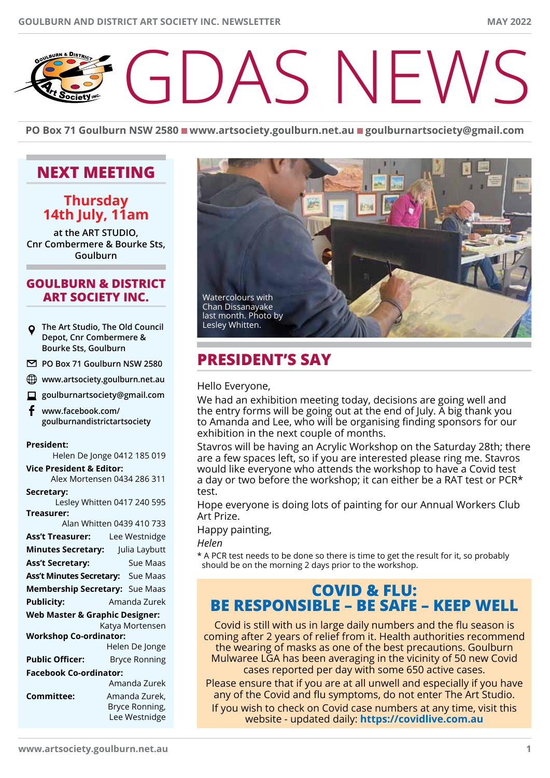# SNEW

**PO** Box 71 Goulburn NSW 2580 ■ www.artsociety.goulburn.net.au ■ goulburnartsociety@gmail.com

# **Next Meeting**

## **Thursday 14th July, 11am**

**at the ART STUDIO, Cnr Combermere & Bourke Sts, Goulburn**

### **GOULBURN & DISTRICT ART SOCIETY INC.**

- **The Art Studio, The Old Council Depot, Cnr Combermere & Bourke Sts, Goulburn**
- **PO Box 71 Goulburn NSW 2580**
- **www.artsociety.goulburn.net.au**
- **goulburnartsociety@gmail.com**
- £ **www.facebook.com/ goulburnandistrictartsociety**

#### **President:**

Helen De Jonge 0412 185 019

**Vice President & Editor:**  Alex Mortensen 0434 286 311

#### **Secretary:**

Lesley Whitten 0417 240 595 **Treasurer:** 

| Alan Whitten 0439 410 733                 |                                                  |
|-------------------------------------------|--------------------------------------------------|
| <b>Ass't Treasurer:</b>                   | Lee Westnidge                                    |
| <b>Minutes Secretary:</b>                 | Julia Laybutt                                    |
| <b>Ass't Secretary:</b>                   | Sue Maas                                         |
| <b>Ass't Minutes Secretary:</b> Sue Maas  |                                                  |
| Membership Secretary: Sue Maas            |                                                  |
| <b>Publicity:</b>                         | Amanda Zurek                                     |
| <b>Web Master &amp; Graphic Designer:</b> |                                                  |
|                                           | Katya Mortensen                                  |
| <b>Workshop Co-ordinator:</b>             |                                                  |
|                                           | Helen De Jonge                                   |
| <b>Public Officer:</b>                    | <b>Bryce Ronning</b>                             |
| Facebook Co-ordinator:                    |                                                  |
|                                           | Amanda Zurek                                     |
| Committee:                                | Amanda Zurek,<br>Bryce Ronning,<br>Lee Westnidge |



# **President's Say**

Hello Everyone,

We had an exhibition meeting today, decisions are going well and the entry forms will be going out at the end of July. A big thank you to Amanda and Lee, who will be organising finding sponsors for our exhibition in the next couple of months.

Stavros will be having an Acrylic Workshop on the Saturday 28th; there are a few spaces left, so if you are interested please ring me. Stavros would like everyone who attends the workshop to have a Covid test a day or two before the workshop; it can either be a RAT test or PCR\* test.

Hope everyone is doing lots of painting for our Annual Workers Club Art Prize.

Happy painting,

*Helen*

\* A PCR test needs to be done so there is time to get the result for it, so probably should be on the morning 2 days prior to the workshop.

## **COVID & FLU: BE RESPONSIBLE – BE SAFE – KEEP WELL**

Covid is still with us in large daily numbers and the flu season is coming after 2 years of relief from it. Health authorities recommend the wearing of masks as one of the best precautions. Goulburn Mulwaree LGA has been averaging in the vicinity of 50 new Covid cases reported per day with some 650 active cases.

Please ensure that if you are at all unwell and especially if you have any of the Covid and flu symptoms, do not enter The Art Studio. If you wish to check on Covid case numbers at any time, visit this website - updated daily: **https://covidlive.com.au**

**www.artsociety.goulburn.net.au 1**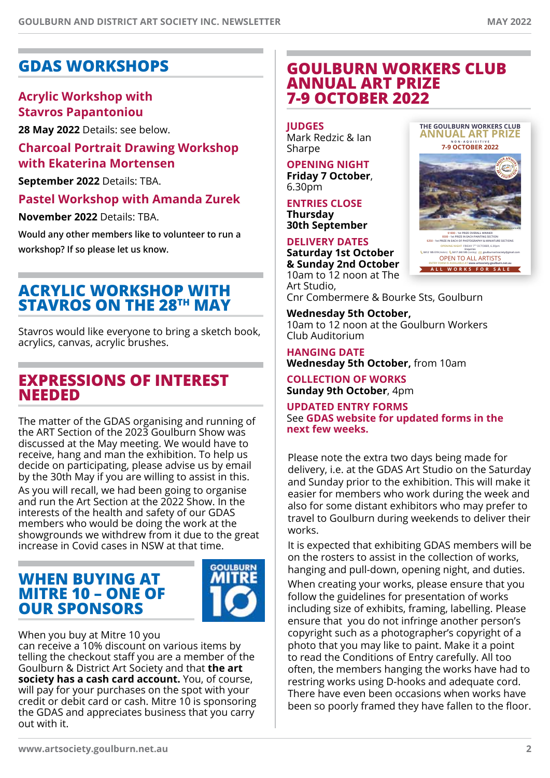**<sup>M</sup>AJO<sup>R</sup> <sup>A</sup>NNUA<sup>L</sup> <sup>A</sup>R<sup>T</sup> <sup>E</sup>XHIBIT<sup>I</sup>O<sup>N</sup>**

**John Sharman,** *Highlands Horseman* **- overall winner in 2019**

**THE GOULBURN WORKERS CLUB ANNUAL ART PRIZE NON-AQUISITIVE 7-9 OCTOBER 2022**

**OPENING NIGHT** FRIDAY 7TH OCTOBER, 6.30pm **Enquiries 0412 185 019** (Helen) **0417 240 595** (Lesley) **goulburnartsociety@gmail.com** OPEN TO ALL ARTISTS **ENTRY FORM IS AVAILABLE AT www.artsociety.goulburn.net.au**

**ALL WORKS FOR SALE**

**\$1000 - 1st PRIZE OVERALL WINNER \$500 - 1st PRIZE IN EACH PAINTING SECTION \$250 - 1st PRIZE IN EACH OF PHOTOGRAPHY & MINIATURE SECTIONS**

# **GDAS Workshops**

## **Acrylic Workshop with Stavros Papantoniou**

**28 May 2022** Details: see below.

## **Charcoal Portrait Drawing Workshop with Ekaterina Mortensen**

**September 2022** Details: TBA.

**Pastel Workshop with Amanda Zurek**

**November 2022** Details: TBA.

**Would any other members like to volunteer to run a workshop? If so please let us know.**

# **Acrylic Workshop with Stavros on the 28th May**

Stavros would like everyone to bring a sketch book, acrylics, canvas, acrylic brushes.

# **EXPRESSIONS OF INTEREST NEEDED**

The matter of the GDAS organising and running of the ART Section of the 2023 Goulburn Show was discussed at the May meeting. We would have to receive, hang and man the exhibition. To help us decide on participating, please advise us by email by the 30th May if you are willing to assist in this.

As you will recall, we had been going to organise and run the Art Section at the 2022 Show. In the interests of the health and safety of our GDAS members who would be doing the work at the showgrounds we withdrew from it due to the great increase in Covid cases in NSW at that time.

# **WHEN BUYING AT MITRE 10 – ONE OF OUR SPONSORS**



When you buy at Mitre 10 you can receive a 10% discount on various items by telling the checkout staff you are a member of the Goulburn & District Art Society and that **the art society has a cash card account.** You, of course, will pay for your purchases on the spot with your credit or debit card or cash. Mitre 10 is sponsoring the GDAS and appreciates business that you carry out with it.

# **GOULBURN WORKERS CLUB ANNUAL ART PRIZE 7-9 October 2022**

**Judges** Mark Redzic & Ian Sharpe

**Opening Night Friday 7 October**, 6.30pm

**Entries close Thursday** 

**30th September**

#### **Delivery dates Saturday 1st October & Sunday 2nd October**  10am to 12 noon at The Art Studio,

Cnr Combermere & Bourke Sts, Goulburn

**Wednesday 5th October,** 10am to 12 noon at the Goulburn Workers Club Auditorium

**Hanging date Wednesday 5th October,** from 10am

**Collection of works Sunday 9th October**, 4pm

**updated Entry forms** See **GDAS website for updated forms in the next few weeks.**

Please note the extra two days being made for delivery, i.e. at the GDAS Art Studio on the Saturday and Sunday prior to the exhibition. This will make it easier for members who work during the week and also for some distant exhibitors who may prefer to travel to Goulburn during weekends to deliver their works.

It is expected that exhibiting GDAS members will be on the rosters to assist in the collection of works, hanging and pull-down, opening night, and duties.

When creating your works, please ensure that you follow the guidelines for presentation of works including size of exhibits, framing, labelling. Please ensure that you do not infringe another person's copyright such as a photographer's copyright of a photo that you may like to paint. Make it a point to read the Conditions of Entry carefully. All too often, the members hanging the works have had to restring works using D-hooks and adequate cord. There have even been occasions when works have been so poorly framed they have fallen to the floor.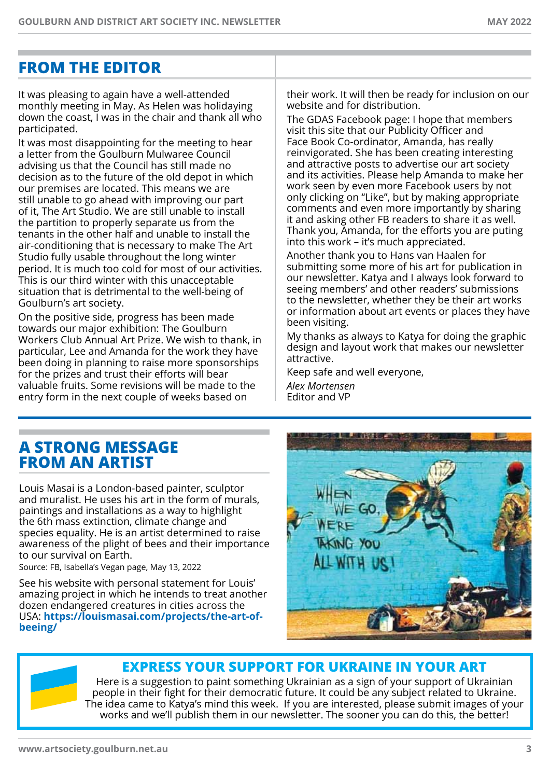# **FROM THE EDITOR**

It was pleasing to again have a well-attended monthly meeting in May. As Helen was holidaying down the coast, I was in the chair and thank all who participated.

It was most disappointing for the meeting to hear a letter from the Goulburn Mulwaree Council advising us that the Council has still made no decision as to the future of the old depot in which our premises are located. This means we are still unable to go ahead with improving our part of it, The Art Studio. We are still unable to install the partition to properly separate us from the tenants in the other half and unable to install the air-conditioning that is necessary to make The Art Studio fully usable throughout the long winter period. It is much too cold for most of our activities. This is our third winter with this unacceptable situation that is detrimental to the well-being of Goulburn's art society.

On the positive side, progress has been made towards our major exhibition: The Goulburn Workers Club Annual Art Prize. We wish to thank, in particular, Lee and Amanda for the work they have been doing in planning to raise more sponsorships for the prizes and trust their efforts will bear valuable fruits. Some revisions will be made to the entry form in the next couple of weeks based on

their work. It will then be ready for inclusion on our website and for distribution.

The GDAS Facebook page: I hope that members visit this site that our Publicity Officer and Face Book Co-ordinator, Amanda, has really reinvigorated. She has been creating interesting and attractive posts to advertise our art society and its activities. Please help Amanda to make her work seen by even more Facebook users by not only clicking on "Like", but by making appropriate comments and even more importantly by sharing it and asking other FB readers to share it as well. Thank you, Amanda, for the efforts you are puting into this work – it's much appreciated.

Another thank you to Hans van Haalen for submitting some more of his art for publication in our newsletter. Katya and I always look forward to seeing members' and other readers' submissions to the newsletter, whether they be their art works or information about art events or places they have been visiting.

My thanks as always to Katya for doing the graphic design and layout work that makes our newsletter attractive.

Keep safe and well everyone, *Alex Mortensen* Editor and VP

# **A STRONG MESSAGE FROM AN ARTIST**

Louis Masai is a London-based painter, sculptor and muralist. He uses his art in the form of murals, paintings and installations as a way to highlight the 6th mass extinction, climate change and species equality. He is an artist determined to raise awareness of the plight of bees and their importance to our survival on Earth.

Source: FB, Isabella's Vegan page, May 13, 2022

See his website with personal statement for Louis' amazing project in which he intends to treat another dozen endangered creatures in cities across the USA: **https://louismasai.com/projects/the-art-ofbeeing/**



# **Express your support for Ukraine in your art**

Here is a suggestion to paint something Ukrainian as a sign of your support of Ukrainian people in their fight for their democratic future. It could be any subject related to Ukraine. The idea came to Katya's mind this week. If you are interested, please submit images of your works and we'll publish them in our newsletter. The sooner you can do this, the better!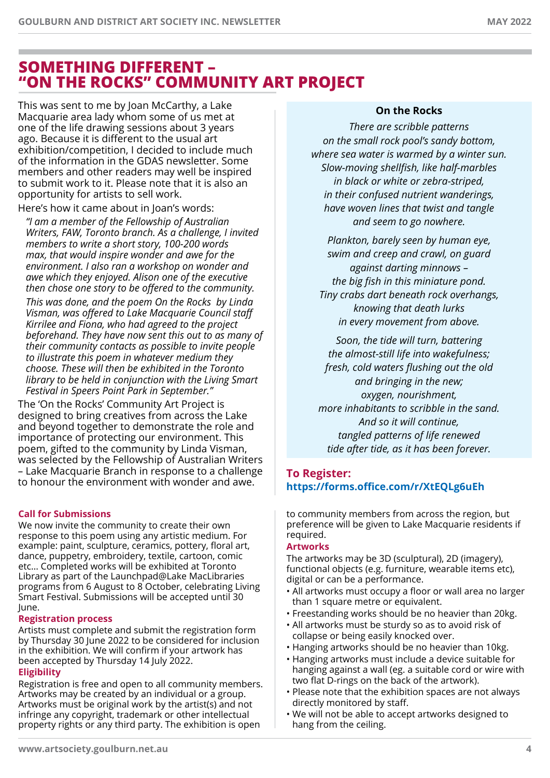# **SOMETHING DIFFERENT – "ON THE ROCKS" COMMUNITY ART PROJECT**

This was sent to me by Joan McCarthy, a Lake Macquarie area lady whom some of us met at one of the life drawing sessions about 3 years ago. Because it is different to the usual art exhibition/competition, I decided to include much of the information in the GDAS newsletter. Some members and other readers may well be inspired to submit work to it. Please note that it is also an opportunity for artists to sell work.

Here's how it came about in Joan's words:

*"I am a member of the Fellowship of Australian Writers, FAW, Toronto branch. As a challenge, I invited members to write a short story, 100-200 words max, that would inspire wonder and awe for the environment. I also ran a workshop on wonder and awe which they enjoyed. Alison one of the executive then chose one story to be offered to the community.*

*This was done, and the poem On the Rocks by Linda Visman, was offered to Lake Macquarie Council staff Kirrilee and Fiona, who had agreed to the project beforehand. They have now sent this out to as many of their community contacts as possible to invite people to illustrate this poem in whatever medium they choose. These will then be exhibited in the Toronto library to be held in conjunction with the Living Smart Festival in Speers Point Park in September."*

The 'On the Rocks' Community Art Project is designed to bring creatives from across the Lake and beyond together to demonstrate the role and importance of protecting our environment. This poem, gifted to the community by Linda Visman, was selected by the Fellowship of Australian Writers – Lake Macquarie Branch in response to a challenge to honour the environment with wonder and awe.

## **Call for Submissions**

We now invite the community to create their own response to this poem using any artistic medium. For example: paint, sculpture, ceramics, pottery, floral art, dance, puppetry, embroidery, textile, cartoon, comic etc… Completed works will be exhibited at Toronto Library as part of the Launchpad@Lake MacLibraries programs from 6 August to 8 October, celebrating Living Smart Festival. Submissions will be accepted until 30 June.

#### **Registration process**

Artists must complete and submit the registration form by Thursday 30 June 2022 to be considered for inclusion in the exhibition. We will confirm if your artwork has been accepted by Thursday 14 July 2022.

### **Eligibility**

Registration is free and open to all community members. Artworks may be created by an individual or a group. Artworks must be original work by the artist(s) and not infringe any copyright, trademark or other intellectual property rights or any third party. The exhibition is open

## **On the Rocks**

*There are scribble patterns on the small rock pool's sandy bottom, where sea water is warmed by a winter sun. Slow-moving shellfish, like half-marbles in black or white or zebra-striped, in their confused nutrient wanderings, have woven lines that twist and tangle and seem to go nowhere.*

*Plankton, barely seen by human eye, swim and creep and crawl, on guard against darting minnows – the big fish in this miniature pond. Tiny crabs dart beneath rock overhangs, knowing that death lurks in every movement from above.*

*Soon, the tide will turn, battering the almost-still life into wakefulness; fresh, cold waters flushing out the old and bringing in the new; oxygen, nourishment, more inhabitants to scribble in the sand. And so it will continue, tangled patterns of life renewed tide after tide, as it has been forever.*

## **To Register: https://forms.office.com/r/XtEQLg6uEh**

to community members from across the region, but preference will be given to Lake Macquarie residents if required.

## **Artworks**

The artworks may be 3D (sculptural), 2D (imagery), functional objects (e.g. furniture, wearable items etc), digital or can be a performance.

- All artworks must occupy a floor or wall area no larger than 1 square metre or equivalent.
- Freestanding works should be no heavier than 20kg.
- All artworks must be sturdy so as to avoid risk of collapse or being easily knocked over.
- Hanging artworks should be no heavier than 10kg.
- Hanging artworks must include a device suitable for hanging against a wall (eg. a suitable cord or wire with two flat D-rings on the back of the artwork).
- Please note that the exhibition spaces are not always directly monitored by staff.
- We will not be able to accept artworks designed to hang from the ceiling.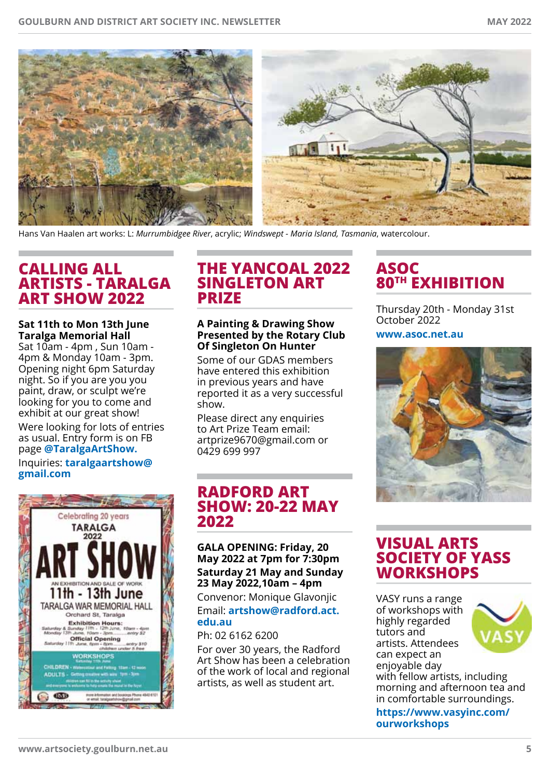

Hans Van Haalen art works: L: *Murrumbidgee River*, acrylic; *Windswept - Maria Island, Tasmania*, watercolour.

# **calling all artists - Taralga Art Show 2022**

#### **Sat 11th to Mon 13th June Taralga Memorial Hall**

Sat 10am - 4pm , Sun 10am - 4pm & Monday 10am - 3pm. Opening night 6pm Saturday night. So if you are you you paint, draw, or sculpt we're looking for you to come and exhibit at our great show!

Were looking for lots of entries as usual. Entry form is on FB page **@TaralgaArtShow.** Inquiries: **taralgaartshow@ gmail.com**



## **THE YANCOAL 2022 SINGLETON ART PRIZE**

#### **A Painting & Drawing Show Presented by the Rotary Club Of Singleton On Hunter**

Some of our GDAS members have entered this exhibition in previous years and have reported it as a very successful show.

Please direct any enquiries to Art Prize Team email: artprize9670@gmail.com or 0429 699 997

# **Radford Art Show: 20-22 May 2022**

**Gala opening: Friday, 20 May 2022 at 7pm for 7:30pm Saturday 21 May and Sunday 23 May 2022,10am – 4pm**

Convenor: Monique Glavonjic Email: **artshow@radford.act. edu.au**

Ph: 02 6162 6200

For over 30 years, the Radford Art Show has been a celebration of the work of local and regional artists, as well as student art.

# **ASOC 80TH EXHIBITION**

Thursday 20th - Monday 31st October 2022

**www.asoc.net.au**



# **Visual Arts Society of Yass Workshops**

VASY runs a range of workshops with highly regarded tutors and artists. Attendees can expect an enjoyable day



with fellow artists, including morning and afternoon tea and in comfortable surroundings.

**https://www.vasyinc.com/ ourworkshops**